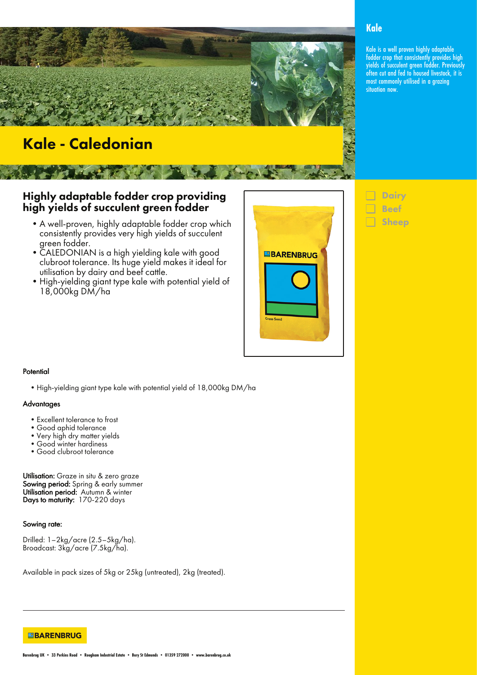

# Kale - Caledonian

### Highly adaptable fodder crop providing high yields of succulent green fodder

- •A well-proven, highly adaptable fodder crop which consistently provides very high yields of succulent green fodder.
- •CALEDONIAN is a high yielding kale with good clubroot tolerance. Its huge yield makes it ideal for utilisation by dairy and beef cattle.
- •High-yielding giant type kale with potential yield of 18,000kg DM/ha



# **Dairy** Beef Sheep

### **Kale**

Kale is a well proven highly adaptable fodder crop that consistently provides high yields of succulent green fodder. Previously often cut and fed to housed livestock, it is most commonly utilised in a grazing situation now.

#### **Potential**

•High-yielding giant type kale with potential yield of 18,000kg DM/ha

#### **Advantages**

- •Excellent tolerance to frost
- •Good aphid tolerance
- •Very high dry matter yields
- •Good winter hardiness
- •Good clubroot tolerance

Utilisation: Graze in situ & zero graze Sowing period: Spring & early summer Utilisation period: Autumn & winter Days to maturity: 170-220 days

Sowing rate:

Drilled: 1–2kg/acre (2.5–5kg/ha). Broadcast: 3kg/acre (7.5kg/ha).

Available in pack sizes of 5kg or 25kg (untreated), 2kg (treated).

**EBARENBRUG**